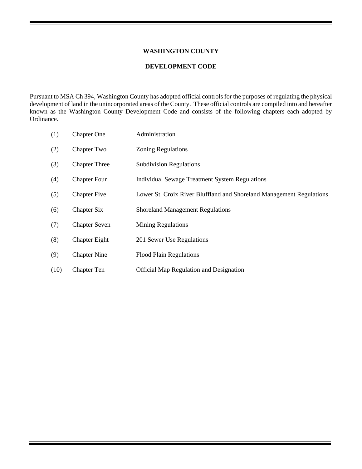#### **WASHINGTON COUNTY**

#### **DEVELOPMENT CODE**

Pursuant to MSA Ch 394, Washington County has adopted official controls for the purposes of regulating the physical development of land in the unincorporated areas of the County. These official controls are compiled into and hereafter known as the Washington County Development Code and consists of the following chapters each adopted by Ordinance.

| (1)  | <b>Chapter One</b>   | Administration                                                       |
|------|----------------------|----------------------------------------------------------------------|
| (2)  | Chapter Two          | <b>Zoning Regulations</b>                                            |
| (3)  | <b>Chapter Three</b> | <b>Subdivision Regulations</b>                                       |
| (4)  | <b>Chapter Four</b>  | <b>Individual Sewage Treatment System Regulations</b>                |
| (5)  | <b>Chapter Five</b>  | Lower St. Croix River Bluffland and Shoreland Management Regulations |
| (6)  | Chapter Six          | <b>Shoreland Management Regulations</b>                              |
| (7)  | <b>Chapter Seven</b> | <b>Mining Regulations</b>                                            |
| (8)  | <b>Chapter Eight</b> | 201 Sewer Use Regulations                                            |
| (9)  | <b>Chapter Nine</b>  | <b>Flood Plain Regulations</b>                                       |
| (10) | <b>Chapter Ten</b>   | <b>Official Map Regulation and Designation</b>                       |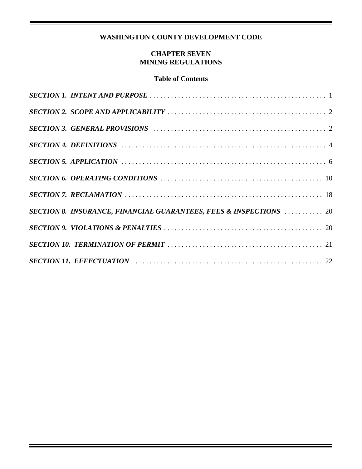# **WASHINGTON COUNTY DEVELOPMENT CODE**

### **CHAPTER SEVEN MINING REGULATIONS**

#### **Table of Contents**

| <b>SECTION 8. INSURANCE, FINANCIAL GUARANTEES, FEES &amp; INSPECTIONS  20</b> |
|-------------------------------------------------------------------------------|
|                                                                               |
|                                                                               |
|                                                                               |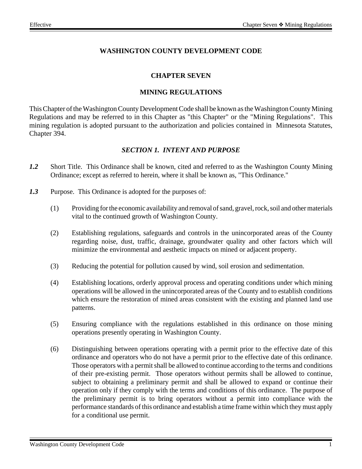## **WASHINGTON COUNTY DEVELOPMENT CODE**

#### **CHAPTER SEVEN**

#### **MINING REGULATIONS**

This Chapter of the Washington County Development Code shall be known as the Washington County Mining Regulations and may be referred to in this Chapter as "this Chapter" or the "Mining Regulations". This mining regulation is adopted pursuant to the authorization and policies contained in Minnesota Statutes, Chapter 394.

#### *SECTION 1. INTENT AND PURPOSE*

- *1.2* Short Title. This Ordinance shall be known, cited and referred to as the Washington County Mining Ordinance; except as referred to herein, where it shall be known as, "This Ordinance."
- *1.3* Purpose. This Ordinance is adopted for the purposes of:
	- (1) Providing for the economic availability and removal of sand, gravel, rock, soil and other materials vital to the continued growth of Washington County.
	- (2) Establishing regulations, safeguards and controls in the unincorporated areas of the County regarding noise, dust, traffic, drainage, groundwater quality and other factors which will minimize the environmental and aesthetic impacts on mined or adjacent property.
	- (3) Reducing the potential for pollution caused by wind, soil erosion and sedimentation.
	- (4) Establishing locations, orderly approval process and operating conditions under which mining operations will be allowed in the unincorporated areas of the County and to establish conditions which ensure the restoration of mined areas consistent with the existing and planned land use patterns.
	- (5) Ensuring compliance with the regulations established in this ordinance on those mining operations presently operating in Washington County.
	- (6) Distinguishing between operations operating with a permit prior to the effective date of this ordinance and operators who do not have a permit prior to the effective date of this ordinance. Those operators with a permit shall be allowed to continue according to the terms and conditions of their pre-existing permit. Those operators without permits shall be allowed to continue, subject to obtaining a preliminary permit and shall be allowed to expand or continue their operation only if they comply with the terms and conditions of this ordinance. The purpose of the preliminary permit is to bring operators without a permit into compliance with the performance standards of this ordinance and establish a time frame within which they must apply for a conditional use permit.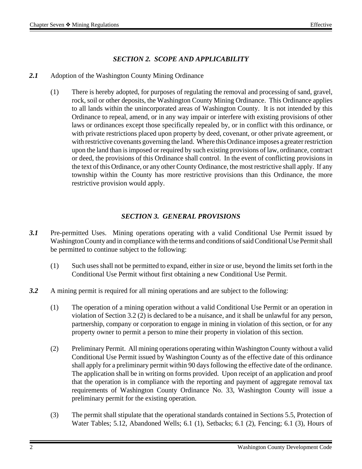## *SECTION 2. SCOPE AND APPLICABILITY*

- *2.1* Adoption of the Washington County Mining Ordinance
	- (1) There is hereby adopted, for purposes of regulating the removal and processing of sand, gravel, rock, soil or other deposits, the Washington County Mining Ordinance. This Ordinance applies to all lands within the unincorporated areas of Washington County. It is not intended by this Ordinance to repeal, amend, or in any way impair or interfere with existing provisions of other laws or ordinances except those specifically repealed by, or in conflict with this ordinance, or with private restrictions placed upon property by deed, covenant, or other private agreement, or with restrictive covenants governing the land. Where this Ordinance imposes a greater restriction upon the land than is imposed or required by such existing provisions of law, ordinance, contract or deed, the provisions of this Ordinance shall control. In the event of conflicting provisions in the text of this Ordinance, or any other County Ordinance, the most restrictive shall apply. If any township within the County has more restrictive provisions than this Ordinance, the more restrictive provision would apply.

#### *SECTION 3. GENERAL PROVISIONS*

- *3.1* Pre-permitted Uses. Mining operations operating with a valid Conditional Use Permit issued by Washington County and in compliance with the terms and conditions of said Conditional Use Permit shall be permitted to continue subject to the following:
	- (1) Such uses shall not be permitted to expand, either in size or use, beyond the limits set forth in the Conditional Use Permit without first obtaining a new Conditional Use Permit.
- *3.2* A mining permit is required for all mining operations and are subject to the following:
	- (1) The operation of a mining operation without a valid Conditional Use Permit or an operation in violation of Section 3.2 (2) is declared to be a nuisance, and it shall be unlawful for any person, partnership, company or corporation to engage in mining in violation of this section, or for any property owner to permit a person to mine their property in violation of this section.
	- (2) Preliminary Permit. All mining operations operating within Washington County without a valid Conditional Use Permit issued by Washington County as of the effective date of this ordinance shall apply for a preliminary permit within 90 days following the effective date of the ordinance. The application shall be in writing on forms provided. Upon receipt of an application and proof that the operation is in compliance with the reporting and payment of aggregate removal tax requirements of Washington County Ordinance No. 33, Washington County will issue a preliminary permit for the existing operation.
	- (3) The permit shall stipulate that the operational standards contained in Sections 5.5, Protection of Water Tables; 5.12, Abandoned Wells; 6.1 (1), Setbacks; 6.1 (2), Fencing; 6.1 (3), Hours of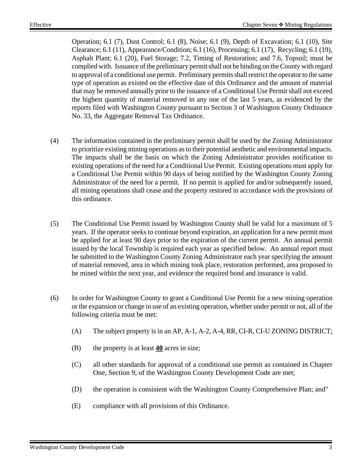Operation; 6.1 (7), Dust Control; 6.1 (8), Noise; 6.1 (9), Depth of Excavation; 6.1 (10), Site Clearance; 6.1 (11), Appearance/Condition; 6.1 (16), Processing; 6.1 (17), Recycling; 6.1 (19), Asphalt Plant; 6.1 (20), Fuel Storage; 7.2, Timing of Restoration; and 7.6, Topsoil; must be complied with. Issuance of the preliminary permit shall not be binding on the County with regard to approval of a conditional use permit. Preliminary permits shall restrict the operator to the same type of operation as existed on the effective date of this Ordinance and the amount of material that may be removed annually prior to the issuance of a Conditional Use Permit shall not exceed the highest quantity of material removed in any one of the last 5 years, as evidenced by the reports filed with Washington County pursuant to Section 3 of Washington County Ordinance No. 33, the Aggregate Removal Tax Ordinance.

- (4) The information contained in the preliminary permit shall be used by the Zoning Administrator to prioritize existing mining operations as to their potential aesthetic and environmental impacts. The impacts shall be the basis on which the Zoning Administrator provides notification to existing operations of the need for a Conditional Use Permit. Existing operations must apply for a Conditional Use Permit within 90 days of being notified by the Washington County Zoning Administrator of the need for a permit. If no permit is applied for and/or subsequently issued, all mining operations shall cease and the property restored in accordance with the provisions of this ordinance.
- (5) The Conditional Use Permit issued by Washington County shall be valid for a maximum of 5 years. If the operator seeks to continue beyond expiration, an application for a new permit must be applied for at least 90 days prior to the expiration of the current permit. An annual permit issued by the local Township is required each year as specified below. An annual report must be submitted to the Washington County Zoning Administrator each year specifying the amount of material removed, area in which mining took place, restoration performed, area proposed to be mined within the next year, and evidence the required bond and insurance is valid.
- (6) In order for Washington County to grant a Conditional Use Permit for a new mining operation or the expansion or change in use of an existing operation, whether under permit or not, all of the following criteria must be met:
	- (A) The subject property is in an AP, A-1, A-2, A-4, RR, CI-R, CI-U ZONING DISTRICT;
	- (B) the property is at least **40** acres in size;
	- (C) all other standards for approval of a conditional use permit as contained in Chapter One, Section 9, of the Washington County Development Code are met;
	- (D) the operation is consistent with the Washington County Comprehensive Plan; and"
	- (E) compliance with all provisions of this Ordinance.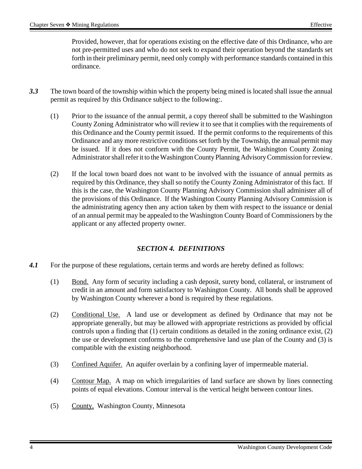Provided, however, that for operations existing on the effective date of this Ordinance, who are not pre-permitted uses and who do not seek to expand their operation beyond the standards set forth in their preliminary permit, need only comply with performance standards contained in this ordinance.

- *3.3* The town board of the township within which the property being mined is located shall issue the annual permit as required by this Ordinance subject to the following:.
	- (1) Prior to the issuance of the annual permit, a copy thereof shall be submitted to the Washington County Zoning Administrator who will review it to see that it complies with the requirements of this Ordinance and the County permit issued. If the permit conforms to the requirements of this Ordinance and any more restrictive conditions set forth by the Township, the annual permit may be issued. If it does not conform with the County Permit, the Washington County Zoning Administrator shall refer it to the Washington County Planning Advisory Commission for review.
	- (2) If the local town board does not want to be involved with the issuance of annual permits as required by this Ordinance, they shall so notify the County Zoning Administrator of this fact. If this is the case, the Washington County Planning Advisory Commission shall administer all of the provisions of this Ordinance. If the Washington County Planning Advisory Commission is the administrating agency then any action taken by them with respect to the issuance or denial of an annual permit may be appealed to the Washington County Board of Commissioners by the applicant or any affected property owner.

## *SECTION 4. DEFINITIONS*

- 4.1 For the purpose of these regulations, certain terms and words are hereby defined as follows:
	- (1) Bond. Any form of security including a cash deposit, surety bond, collateral, or instrument of credit in an amount and form satisfactory to Washington County. All bonds shall be approved by Washington County wherever a bond is required by these regulations.
	- (2) Conditional Use. A land use or development as defined by Ordinance that may not be appropriate generally, but may be allowed with appropriate restrictions as provided by official controls upon a finding that (1) certain conditions as detailed in the zoning ordinance exist, (2) the use or development conforms to the comprehensive land use plan of the County and (3) is compatible with the existing neighborhood.
	- (3) Confined Aquifer. An aquifer overlain by a confining layer of impermeable material.
	- (4) Contour Map. A map on which irregularities of land surface are shown by lines connecting points of equal elevations. Contour interval is the vertical height between contour lines.
	- (5) County. Washington County, Minnesota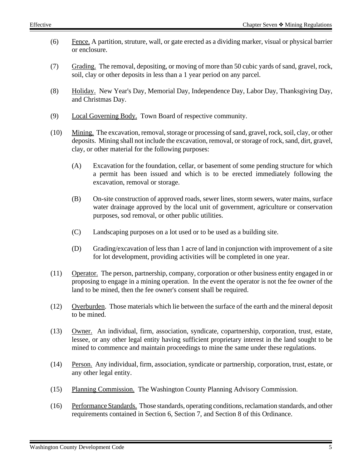- (6) Fence. A partition, struture, wall, or gate erected as a dividing marker, visual or physical barrier or enclosure.
- (7) Grading. The removal, depositing, or moving of more than 50 cubic yards of sand, gravel, rock, soil, clay or other deposits in less than a 1 year period on any parcel.
- (8) Holiday. New Year's Day, Memorial Day, Independence Day, Labor Day, Thanksgiving Day, and Christmas Day.
- (9) Local Governing Body. Town Board of respective community.
- (10) Mining. The excavation, removal, storage or processing of sand, gravel, rock, soil, clay, or other deposits. Mining shall not include the excavation, removal, or storage of rock, sand, dirt, gravel, clay, or other material for the following purposes:
	- (A) Excavation for the foundation, cellar, or basement of some pending structure for which a permit has been issued and which is to be erected immediately following the excavation, removal or storage.
	- (B) On-site construction of approved roads, sewer lines, storm sewers, water mains, surface water drainage approved by the local unit of government, agriculture or conservation purposes, sod removal, or other public utilities.
	- (C) Landscaping purposes on a lot used or to be used as a building site.
	- (D) Grading/excavation of less than 1 acre of land in conjunction with improvement of a site for lot development, providing activities will be completed in one year.
- (11) Operator. The person, partnership, company, corporation or other business entity engaged in or proposing to engage in a mining operation. In the event the operator is not the fee owner of the land to be mined, then the fee owner's consent shall be required.
- (12) Overburden. Those materials which lie between the surface of the earth and the mineral deposit to be mined.
- (13) Owner. An individual, firm, association, syndicate, copartnership, corporation, trust, estate, lessee, or any other legal entity having sufficient proprietary interest in the land sought to be mined to commence and maintain proceedings to mine the same under these regulations.
- (14) Person. Any individual, firm, association, syndicate or partnership, corporation, trust, estate, or any other legal entity.
- (15) Planning Commission. The Washington County Planning Advisory Commission.
- (16) Performance Standards. Those standards, operating conditions, reclamation standards, and other requirements contained in Section 6, Section 7, and Section 8 of this Ordinance.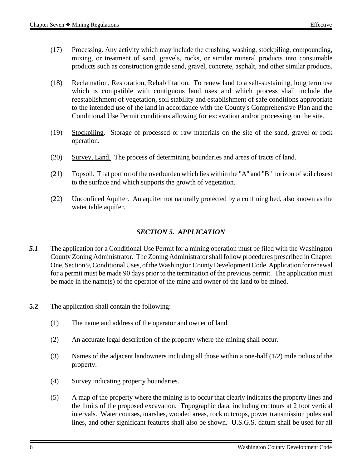- (17) Processing. Any activity which may include the crushing, washing, stockpiling, compounding, mixing, or treatment of sand, gravels, rocks, or similar mineral products into consumable products such as construction grade sand, gravel, concrete, asphalt, and other similar products.
- (18) Reclamation, Restoration, Rehabilitation. To renew land to a self-sustaining, long term use which is compatible with contiguous land uses and which process shall include the reestablishment of vegetation, soil stability and establishment of safe conditions appropriate to the intended use of the land in accordance with the County's Comprehensive Plan and the Conditional Use Permit conditions allowing for excavation and/or processing on the site.
- (19) Stockpiling. Storage of processed or raw materials on the site of the sand, gravel or rock operation.
- (20) Survey, Land. The process of determining boundaries and areas of tracts of land.
- (21) Topsoil. That portion of the overburden which lies within the "A" and "B" horizon of soil closest to the surface and which supports the growth of vegetation.
- (22) Unconfined Aquifer. An aquifer not naturally protected by a confining bed, also known as the water table aquifer.

### *SECTION 5. APPLICATION*

- *5.1* The application for a Conditional Use Permit for a mining operation must be filed with the Washington County Zoning Administrator. The Zoning Administrator shall follow procedures prescribed in Chapter One, Section 9, Conditional Uses, of the Washington County Development Code. Application for renewal for a permit must be made 90 days prior to the termination of the previous permit. The application must be made in the name(s) of the operator of the mine and owner of the land to be mined.
- **5.2** The application shall contain the following:
	- (1) The name and address of the operator and owner of land.
	- (2) An accurate legal description of the property where the mining shall occur.
	- (3) Names of the adjacent landowners including all those within a one-half  $(1/2)$  mile radius of the property.
	- (4) Survey indicating property boundaries.
	- (5) A map of the property where the mining is to occur that clearly indicates the property lines and the limits of the proposed excavation. Topographic data, including contours at 2 foot vertical intervals. Water courses, marshes, wooded areas, rock outcrops, power transmission poles and lines, and other significant features shall also be shown. U.S.G.S. datum shall be used for all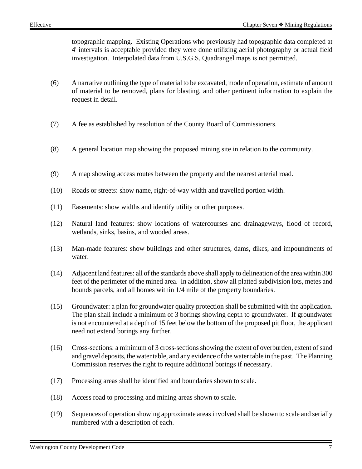topographic mapping. Existing Operations who previously had topographic data completed at 4' intervals is acceptable provided they were done utilizing aerial photography or actual field investigation. Interpolated data from U.S.G.S. Quadrangel maps is not permitted.

- (6) A narrative outlining the type of material to be excavated, mode of operation, estimate of amount of material to be removed, plans for blasting, and other pertinent information to explain the request in detail.
- (7) A fee as established by resolution of the County Board of Commissioners.
- (8) A general location map showing the proposed mining site in relation to the community.
- (9) A map showing access routes between the property and the nearest arterial road.
- (10) Roads or streets: show name, right-of-way width and travelled portion width.
- (11) Easements: show widths and identify utility or other purposes.
- (12) Natural land features: show locations of watercourses and drainageways, flood of record, wetlands, sinks, basins, and wooded areas.
- (13) Man-made features: show buildings and other structures, dams, dikes, and impoundments of water.
- (14) Adjacent land features: all of the standards above shall apply to delineation of the area within 300 feet of the perimeter of the mined area. In addition, show all platted subdivision lots, metes and bounds parcels, and all homes within 1/4 mile of the property boundaries.
- (15) Groundwater: a plan for groundwater quality protection shall be submitted with the application. The plan shall include a minimum of 3 borings showing depth to groundwater. If groundwater is not encountered at a depth of 15 feet below the bottom of the proposed pit floor, the applicant need not extend borings any further.
- (16) Cross-sections: a minimum of 3 cross-sections showing the extent of overburden, extent of sand and gravel deposits, the water table, and any evidence of the water table in the past. The Planning Commission reserves the right to require additional borings if necessary.
- (17) Processing areas shall be identified and boundaries shown to scale.
- (18) Access road to processing and mining areas shown to scale.
- (19) Sequences of operation showing approximate areas involved shall be shown to scale and serially numbered with a description of each.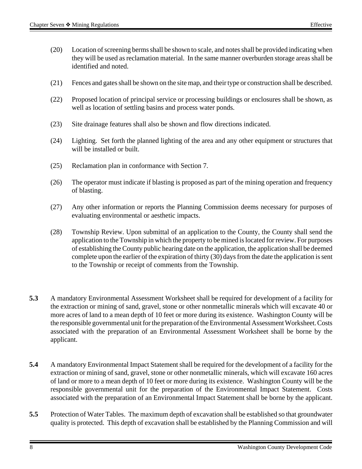- (20) Location of screening berms shall be shown to scale, and notes shall be provided indicating when they will be used as reclamation material. In the same manner overburden storage areas shall be identified and noted.
- (21) Fences and gates shall be shown on the site map, and their type or construction shall be described.
- (22) Proposed location of principal service or processing buildings or enclosures shall be shown, as well as location of settling basins and process water ponds.
- (23) Site drainage features shall also be shown and flow directions indicated.
- (24) Lighting. Set forth the planned lighting of the area and any other equipment or structures that will be installed or built.
- (25) Reclamation plan in conformance with Section 7.
- (26) The operator must indicate if blasting is proposed as part of the mining operation and frequency of blasting.
- (27) Any other information or reports the Planning Commission deems necessary for purposes of evaluating environmental or aesthetic impacts.
- (28) Township Review. Upon submittal of an application to the County, the County shall send the application to the Township in which the property to be mined is located for review. For purposes of establishing the County public hearing date on the application, the application shall be deemed complete upon the earlier of the expiration of thirty (30) days from the date the application is sent to the Township or receipt of comments from the Township.
- **5.3** A mandatory Environmental Assessment Worksheet shall be required for development of a facility for the extraction or mining of sand, gravel, stone or other nonmetallic minerals which will excavate 40 or more acres of land to a mean depth of 10 feet or more during its existence. Washington County will be the responsible governmental unit for the preparation of the Environmental Assessment Worksheet. Costs associated with the preparation of an Environmental Assessment Worksheet shall be borne by the applicant.
- **5.4** A mandatory Environmental Impact Statement shall be required for the development of a facility for the extraction or mining of sand, gravel, stone or other nonmetallic minerals, which will excavate 160 acres of land or more to a mean depth of 10 feet or more during its existence. Washington County will be the responsible governmental unit for the preparation of the Environmental Impact Statement. Costs associated with the preparation of an Environmental Impact Statement shall be borne by the applicant.
- **5.5** Protection of Water Tables. The maximum depth of excavation shall be established so that groundwater quality is protected. This depth of excavation shall be established by the Planning Commission and will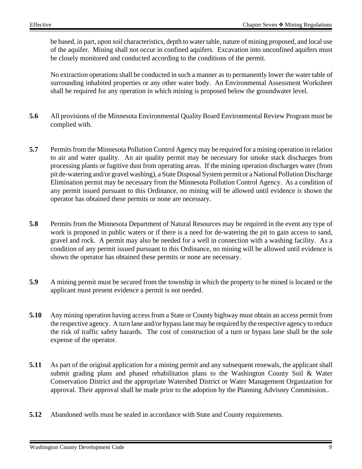be based, in part, upon soil characteristics, depth to water table, nature of mining proposed, and local use of the aquifer. Mining shall not occur in confined aquifers. Excavation into unconfined aquifers must be closely monitored and conducted according to the conditions of the permit.

No extraction operations shall be conducted in such a manner as to permanently lower the water table of surrounding inhabited properties or any other water body. An Environmental Assessment Worksheet shall be required for any operation in which mining is proposed below the groundwater level.

- **5.6** All provisions of the Minnesota Environmental Quality Board Environmental Review Program must be complied with.
- **5.7** Permits from the Minnesota Pollution Control Agency may be required for a mining operation in relation to air and water quality. An air quality permit may be necessary for smoke stack discharges from processing plants or fugitive dust from operating areas. If the mining operation discharges water (from pit de-watering and/or gravel washing), a State Disposal System permit or a National Pollution Discharge Elimination permit may be necessary from the Minnesota Pollution Control Agency. As a condition of any permit issued pursuant to this Ordinance, no mining will be allowed until evidence is shown the operator has obtained these permits or none are necessary.
- **5.8** Permits from the Minnesota Department of Natural Resources may be required in the event any type of work is proposed in public waters or if there is a need for de-watering the pit to gain access to sand, gravel and rock. A permit may also be needed for a well in connection with a washing facility. As a condition of any permit issued pursuant to this Ordinance, no mining will be allowed until evidence is shown the operator has obtained these permits or none are necessary.
- **5.9** A mining permit must be secured from the township in which the property to be mined is located or the applicant must present evidence a permit is not needed.
- **5.10** Any mining operation having access from a State or County highway must obtain an access permit from the respective agency. A turn lane and/or bypass lane may be required by the respective agency to reduce the risk of traffic safety hazards. The cost of construction of a turn or bypass lane shall be the sole expense of the operator.
- **5.11** As part of the original application for a mining permit and any subsequent renewals, the applicant shall submit grading plans and phased rehabilitation plans to the Washington County Soil & Water Conservation District and the appropriate Watershed District or Water Management Organization for approval. Their approval shall be made prior to the adoption by the Planning Advisory Commission..
- **5.12** Abandoned wells must be sealed in accordance with State and County requirements.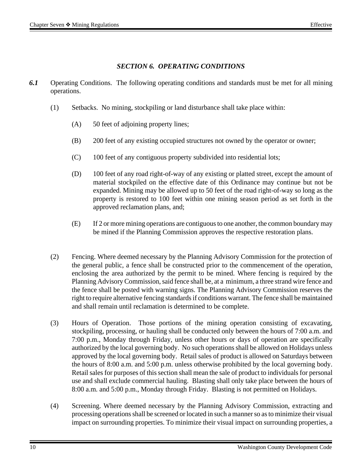### *SECTION 6. OPERATING CONDITIONS*

- *6.1* Operating Conditions. The following operating conditions and standards must be met for all mining operations.
	- (1) Setbacks. No mining, stockpiling or land disturbance shall take place within:
		- (A) 50 feet of adjoining property lines;
		- (B) 200 feet of any existing occupied structures not owned by the operator or owner;
		- (C) 100 feet of any contiguous property subdivided into residential lots;
		- (D) 100 feet of any road right-of-way of any existing or platted street, except the amount of material stockpiled on the effective date of this Ordinance may continue but not be expanded. Mining may be allowed up to 50 feet of the road right-of-way so long as the property is restored to 100 feet within one mining season period as set forth in the approved reclamation plans, and;
		- (E) If 2 or more mining operations are contiguous to one another, the common boundary may be mined if the Planning Commission approves the respective restoration plans.
	- (2) Fencing. Where deemed necessary by the Planning Advisory Commission for the protection of the general public, a fence shall be constructed prior to the commencement of the operation, enclosing the area authorized by the permit to be mined. Where fencing is required by the Planning Advisory Commission, said fence shall be, at a minimum, a three strand wire fence and the fence shall be posted with warning signs. The Planning Advisory Commission reserves the right to require alternative fencing standards if conditions warrant. The fence shall be maintained and shall remain until reclamation is determined to be complete.
	- (3) Hours of Operation. Those portions of the mining operation consisting of excavating, stockpiling, processing, or hauling shall be conducted only between the hours of 7:00 a.m. and 7:00 p.m., Monday through Friday, unless other hours or days of operation are specifically authorized by the local governing body. No such operations shall be allowed on Holidays unless approved by the local governing body. Retail sales of product is allowed on Saturdays between the hours of 8:00 a.m. and 5:00 p.m. unless otherwise prohibited by the local governing body. Retail sales for purposes of this section shall mean the sale of product to individuals for personal use and shall exclude commercial hauling. Blasting shall only take place between the hours of 8:00 a.m. and 5:00 p.m., Monday through Friday. Blasting is not permitted on Holidays.
	- (4) Screening. Where deemed necessary by the Planning Advisory Commission, extracting and processing operations shall be screened or located in such a manner so as to minimize their visual impact on surrounding properties. To minimize their visual impact on surrounding properties, a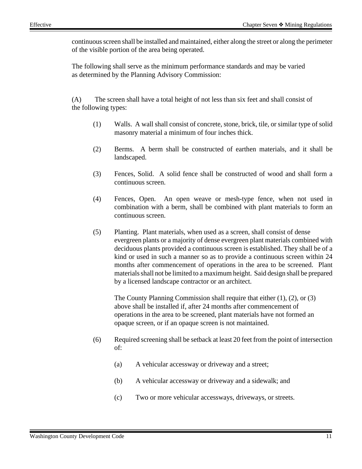continuous screen shall be installed and maintained, either along the street or along the perimeter of the visible portion of the area being operated.

The following shall serve as the minimum performance standards and may be varied as determined by the Planning Advisory Commission:

(A) The screen shall have a total height of not less than six feet and shall consist of the following types:

- (1) Walls. A wall shall consist of concrete, stone, brick, tile, or similar type of solid masonry material a minimum of four inches thick.
- (2) Berms. A berm shall be constructed of earthen materials, and it shall be landscaped.
- (3) Fences, Solid. A solid fence shall be constructed of wood and shall form a continuous screen.
- (4) Fences, Open. An open weave or mesh-type fence, when not used in combination with a berm, shall be combined with plant materials to form an continuous screen.
- (5) Planting. Plant materials, when used as a screen, shall consist of dense evergreen plants or a majority of dense evergreen plant materials combined with deciduous plants provided a continuous screen is established. They shall be of a kind or used in such a manner so as to provide a continuous screen within 24 months after commencement of operations in the area to be screened. Plant materials shall not be limited to a maximum height. Said design shall be prepared by a licensed landscape contractor or an architect.

The County Planning Commission shall require that either (1), (2), or (3) above shall be installed if, after 24 months after commencement of operations in the area to be screened, plant materials have not formed an opaque screen, or if an opaque screen is not maintained.

- (6) Required screening shall be setback at least 20 feet from the point of intersection of:
	- (a) A vehicular accessway or driveway and a street;
	- (b) A vehicular accessway or driveway and a sidewalk; and
	- (c) Two or more vehicular accessways, driveways, or streets.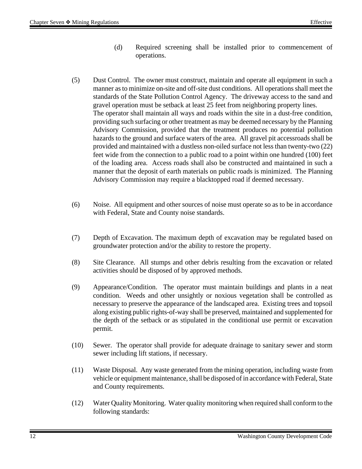- (d) Required screening shall be installed prior to commencement of operations.
- (5) Dust Control. The owner must construct, maintain and operate all equipment in such a manner as to minimize on-site and off-site dust conditions. All operations shall meet the standards of the State Pollution Control Agency. The driveway access to the sand and gravel operation must be setback at least 25 feet from neighboring property lines. The operator shall maintain all ways and roads within the site in a dust-free condition, providing such surfacing or other treatment as may be deemed necessary by the Planning Advisory Commission, provided that the treatment produces no potential pollution hazards to the ground and surface waters of the area. All gravel pit accessroads shall be provided and maintained with a dustless non-oiled surface not less than twenty-two (22) feet wide from the connection to a public road to a point within one hundred (100) feet of the loading area. Access roads shall also be constructed and maintained in such a manner that the deposit of earth materials on public roads is minimized. The Planning Advisory Commission may require a blacktopped road if deemed necessary.
- (6) Noise. All equipment and other sources of noise must operate so as to be in accordance with Federal, State and County noise standards.
- (7) Depth of Excavation. The maximum depth of excavation may be regulated based on groundwater protection and/or the ability to restore the property.
- (8) Site Clearance. All stumps and other debris resulting from the excavation or related activities should be disposed of by approved methods.
- (9) Appearance/Condition. The operator must maintain buildings and plants in a neat condition. Weeds and other unsightly or noxious vegetation shall be controlled as necessary to preserve the appearance of the landscaped area. Existing trees and topsoil along existing public rights-of-way shall be preserved, maintained and supplemented for the depth of the setback or as stipulated in the conditional use permit or excavation permit.
- (10) Sewer. The operator shall provide for adequate drainage to sanitary sewer and storm sewer including lift stations, if necessary.
- (11) Waste Disposal. Any waste generated from the mining operation, including waste from vehicle or equipment maintenance, shall be disposed of in accordance with Federal, State and County requirements.
- (12) Water Quality Monitoring. Water quality monitoring when required shall conform to the following standards: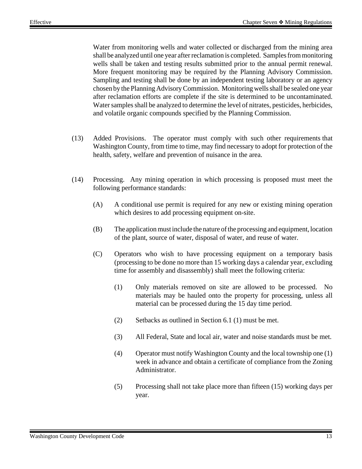Water from monitoring wells and water collected or discharged from the mining area shall be analyzed until one year after reclamation is completed. Samples from monitoring wells shall be taken and testing results submitted prior to the annual permit renewal. More frequent monitoring may be required by the Planning Advisory Commission. Sampling and testing shall be done by an independent testing laboratory or an agency chosen by the Planning Advisory Commission. Monitoring wells shall be sealed one year after reclamation efforts are complete if the site is determined to be uncontaminated. Water samples shall be analyzed to determine the level of nitrates, pesticides, herbicides, and volatile organic compounds specified by the Planning Commission.

- (13) Added Provisions. The operator must comply with such other requirements that Washington County, from time to time, may find necessary to adopt for protection of the health, safety, welfare and prevention of nuisance in the area.
- (14) Processing. Any mining operation in which processing is proposed must meet the following performance standards:
	- (A) A conditional use permit is required for any new or existing mining operation which desires to add processing equipment on-site.
	- (B) The application must include the nature of the processing and equipment, location of the plant, source of water, disposal of water, and reuse of water.
	- (C) Operators who wish to have processing equipment on a temporary basis (processing to be done no more than 15 working days a calendar year, excluding time for assembly and disassembly) shall meet the following criteria:
		- (1) Only materials removed on site are allowed to be processed. No materials may be hauled onto the property for processing, unless all material can be processed during the 15 day time period.
		- (2) Setbacks as outlined in Section 6.1 (1) must be met.
		- (3) All Federal, State and local air, water and noise standards must be met.
		- (4) Operator must notify Washington County and the local township one (1) week in advance and obtain a certificate of compliance from the Zoning Administrator.
		- (5) Processing shall not take place more than fifteen (15) working days per year.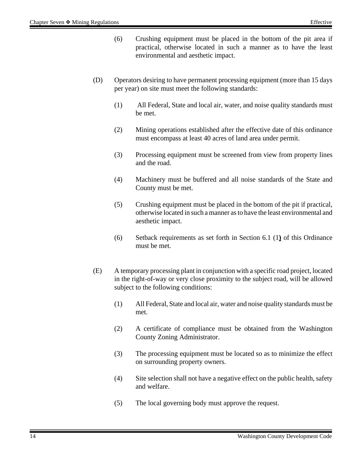- (6) Crushing equipment must be placed in the bottom of the pit area if practical, otherwise located in such a manner as to have the least environmental and aesthetic impact.
- (D) Operators desiring to have permanent processing equipment (more than 15 days per year) on site must meet the following standards:
	- (1) All Federal, State and local air, water, and noise quality standards must be met.
	- (2) Mining operations established after the effective date of this ordinance must encompass at least 40 acres of land area under permit.
	- (3) Processing equipment must be screened from view from property lines and the road.
	- (4) Machinery must be buffered and all noise standards of the State and County must be met.
	- (5) Crushing equipment must be placed in the bottom of the pit if practical, otherwise located in such a manner as to have the least environmental and aesthetic impact.
	- (6) Setback requirements as set forth in Section 6.1 (1**)** of this Ordinance must be met.
- (E) A temporary processing plant in conjunction with a specific road project, located in the right-of-way or very close proximity to the subject road, will be allowed subject to the following conditions:
	- (1) All Federal, State and local air, water and noise quality standards must be met.
	- (2) A certificate of compliance must be obtained from the Washington County Zoning Administrator.
	- (3) The processing equipment must be located so as to minimize the effect on surrounding property owners.
	- (4) Site selection shall not have a negative effect on the public health, safety and welfare.
	- (5) The local governing body must approve the request.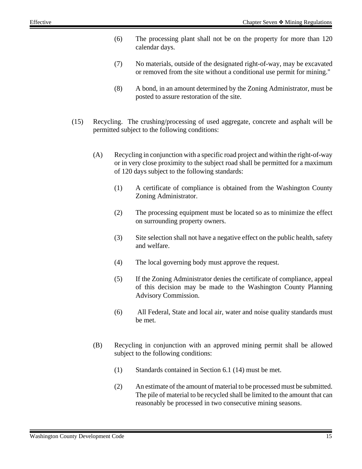- (6) The processing plant shall not be on the property for more than 120 calendar days.
- (7) No materials, outside of the designated right-of-way, may be excavated or removed from the site without a conditional use permit for mining."
- (8) A bond, in an amount determined by the Zoning Administrator, must be posted to assure restoration of the site.
- (15) Recycling. The crushing/processing of used aggregate, concrete and asphalt will be permitted subject to the following conditions:
	- (A) Recycling in conjunction with a specific road project and within the right-of-way or in very close proximity to the subject road shall be permitted for a maximum of 120 days subject to the following standards:
		- (1) A certificate of compliance is obtained from the Washington County Zoning Administrator.
		- (2) The processing equipment must be located so as to minimize the effect on surrounding property owners.
		- (3) Site selection shall not have a negative effect on the public health, safety and welfare.
		- (4) The local governing body must approve the request.
		- (5) If the Zoning Administrator denies the certificate of compliance, appeal of this decision may be made to the Washington County Planning Advisory Commission.
		- (6) All Federal, State and local air, water and noise quality standards must be met.
	- (B) Recycling in conjunction with an approved mining permit shall be allowed subject to the following conditions:
		- (1) Standards contained in Section 6.1 (14) must be met.
		- (2) An estimate of the amount of material to be processed must be submitted. The pile of material to be recycled shall be limited to the amount that can reasonably be processed in two consecutive mining seasons.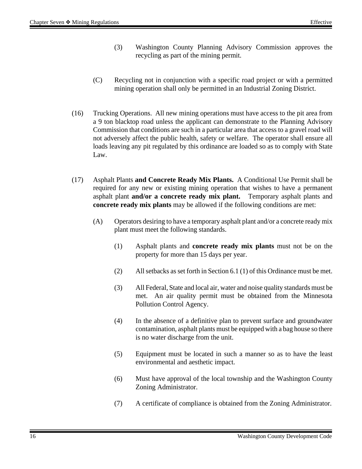- (3) Washington County Planning Advisory Commission approves the recycling as part of the mining permit.
- (C) Recycling not in conjunction with a specific road project or with a permitted mining operation shall only be permitted in an Industrial Zoning District.
- (16) Trucking Operations. All new mining operations must have access to the pit area from a 9 ton blacktop road unless the applicant can demonstrate to the Planning Advisory Commission that conditions are such in a particular area that access to a gravel road will not adversely affect the public health, safety or welfare. The operator shall ensure all loads leaving any pit regulated by this ordinance are loaded so as to comply with State Law.
- (17) Asphalt Plants **and Concrete Ready Mix Plants.** A Conditional Use Permit shall be required for any new or existing mining operation that wishes to have a permanent asphalt plant **and/or a concrete ready mix plant.** Temporary asphalt plants and **concrete ready mix plants** may be allowed if the following conditions are met:
	- (A) Operators desiring to have a temporary asphalt plant and/or a concrete ready mix plant must meet the following standards.
		- (1) Asphalt plants and **concrete ready mix plants** must not be on the property for more than 15 days per year.
		- (2) All setbacks as set forth in Section 6.1 (1) of this Ordinance must be met.
		- (3) All Federal, State and local air, water and noise quality standards must be met. An air quality permit must be obtained from the Minnesota Pollution Control Agency.
		- (4) In the absence of a definitive plan to prevent surface and groundwater contamination, asphalt plants must be equipped with a bag house so there is no water discharge from the unit.
		- (5) Equipment must be located in such a manner so as to have the least environmental and aesthetic impact.
		- (6) Must have approval of the local township and the Washington County Zoning Administrator.
		- (7) A certificate of compliance is obtained from the Zoning Administrator.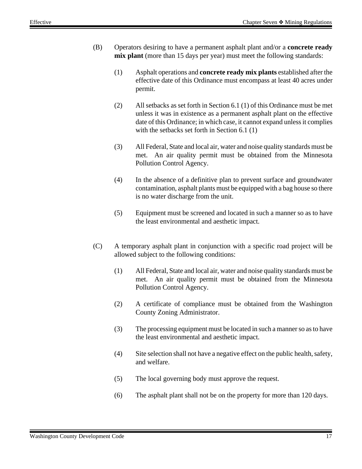- (B) Operators desiring to have a permanent asphalt plant and/or a **concrete ready mix plant** (more than 15 days per year) must meet the following standards:
	- (1) Asphalt operations and **concrete ready mix plants** established after the effective date of this Ordinance must encompass at least 40 acres under permit.
	- (2) All setbacks as set forth in Section 6.1 (1) of this Ordinance must be met unless it was in existence as a permanent asphalt plant on the effective date of this Ordinance; in which case, it cannot expand unless it complies with the setbacks set forth in Section 6.1 (1)
	- (3) All Federal, State and local air, water and noise quality standards must be met. An air quality permit must be obtained from the Minnesota Pollution Control Agency.
	- (4) In the absence of a definitive plan to prevent surface and groundwater contamination, asphalt plants must be equipped with a bag house so there is no water discharge from the unit.
	- (5) Equipment must be screened and located in such a manner so as to have the least environmental and aesthetic impact.
- (C) A temporary asphalt plant in conjunction with a specific road project will be allowed subject to the following conditions:
	- (1) All Federal, State and local air, water and noise quality standards must be met. An air quality permit must be obtained from the Minnesota Pollution Control Agency.
	- (2) A certificate of compliance must be obtained from the Washington County Zoning Administrator.
	- (3) The processing equipment must be located in such a manner so as to have the least environmental and aesthetic impact.
	- (4) Site selection shall not have a negative effect on the public health, safety, and welfare.
	- (5) The local governing body must approve the request.
	- (6) The asphalt plant shall not be on the property for more than 120 days.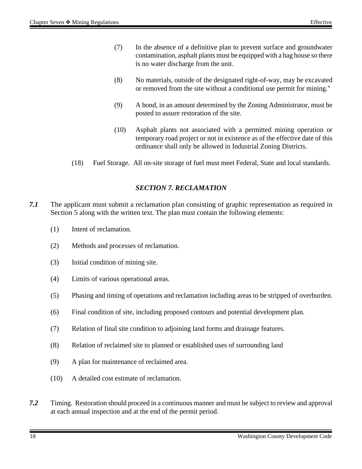- (7) In the absence of a definitive plan to prevent surface and groundwater contamination, asphalt plants must be equipped with a bag house so there is no water discharge from the unit.
- (8) No materials, outside of the designated right-of-way, may be excavated or removed from the site without a conditional use permit for mining."
- (9) A bond, in an amount determined by the Zoning Administrator, must be posted to assure restoration of the site.
- (10) Asphalt plants not associated with a permitted mining operation or temporary road project or not in existence as of the effective date of this ordinance shall only be allowed in Industrial Zoning Districts.
- (18) Fuel Storage. All on-site storage of fuel must meet Federal, State and local standards.

#### *SECTION 7. RECLAMATION*

- *7.1* The applicant must submit a reclamation plan consisting of graphic representation as required in Section 5 along with the written text. The plan must contain the following elements:
	- (1) Intent of reclamation.
	- (2) Methods and processes of reclamation.
	- (3) Initial condition of mining site.
	- (4) Limits of various operational areas.
	- (5) Phasing and timing of operations and reclamation including areas to be stripped of overburden.
	- (6) Final condition of site, including proposed contours and potential development plan.
	- (7) Relation of final site condition to adjoining land forms and drainage features.
	- (8) Relation of reclaimed site to planned or established uses of surrounding land
	- (9) A plan for maintenance of reclaimed area.
	- (10) A detailed cost estimate of reclamation.
- *7.2* Timing. Restoration should proceed in a continuous manner and must be subject to review and approval at each annual inspection and at the end of the permit period.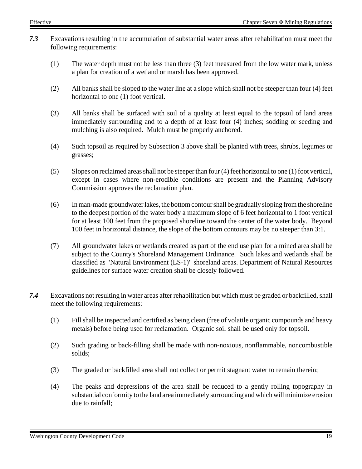- *7.3* Excavations resulting in the accumulation of substantial water areas after rehabilitation must meet the following requirements:
	- (1) The water depth must not be less than three (3) feet measured from the low water mark, unless a plan for creation of a wetland or marsh has been approved.
	- (2) All banks shall be sloped to the water line at a slope which shall not be steeper than four (4) feet horizontal to one (1) foot vertical.
	- (3) All banks shall be surfaced with soil of a quality at least equal to the topsoil of land areas immediately surrounding and to a depth of at least four (4) inches; sodding or seeding and mulching is also required. Mulch must be properly anchored.
	- (4) Such topsoil as required by Subsection 3 above shall be planted with trees, shrubs, legumes or grasses;
	- (5) Slopes on reclaimed areas shall not be steeper than four (4) feet horizontal to one (1) foot vertical, except in cases where non-erodible conditions are present and the Planning Advisory Commission approves the reclamation plan.
	- (6) In man-made groundwater lakes, the bottom contour shall be gradually sloping from the shoreline to the deepest portion of the water body a maximum slope of 6 feet horizontal to 1 foot vertical for at least 100 feet from the proposed shoreline toward the center of the water body. Beyond 100 feet in horizontal distance, the slope of the bottom contours may be no steeper than 3:1.
	- (7) All groundwater lakes or wetlands created as part of the end use plan for a mined area shall be subject to the County's Shoreland Management Ordinance. Such lakes and wetlands shall be classified as "Natural Environment (LS-1)" shoreland areas. Department of Natural Resources guidelines for surface water creation shall be closely followed.
- *7.4* Excavations not resulting in water areas after rehabilitation but which must be graded or backfilled, shall meet the following requirements:
	- (1) Fill shall be inspected and certified as being clean (free of volatile organic compounds and heavy metals) before being used for reclamation. Organic soil shall be used only for topsoil.
	- (2) Such grading or back-filling shall be made with non-noxious, nonflammable, noncombustible solids;
	- (3) The graded or backfilled area shall not collect or permit stagnant water to remain therein;
	- (4) The peaks and depressions of the area shall be reduced to a gently rolling topography in substantial conformity to the land area immediately surrounding and which will minimize erosion due to rainfall;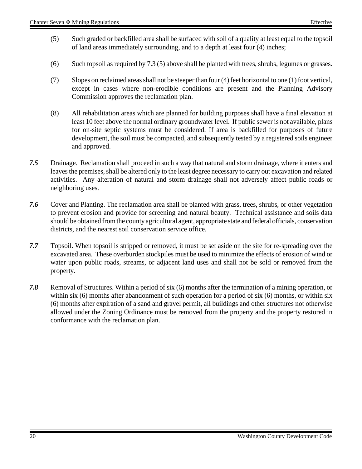- (5) Such graded or backfilled area shall be surfaced with soil of a quality at least equal to the topsoil of land areas immediately surrounding, and to a depth at least four (4) inches;
- (6) Such topsoil as required by 7.3 (5) above shall be planted with trees, shrubs, legumes or grasses.
- (7) Slopes on reclaimed areas shall not be steeper than four (4) feet horizontal to one (1) foot vertical, except in cases where non-erodible conditions are present and the Planning Advisory Commission approves the reclamation plan.
- (8) All rehabilitation areas which are planned for building purposes shall have a final elevation at least 10 feet above the normal ordinary groundwater level. If public sewer is not available, plans for on-site septic systems must be considered. If area is backfilled for purposes of future development, the soil must be compacted, and subsequently tested by a registered soils engineer and approved.
- *7.5* Drainage. Reclamation shall proceed in such a way that natural and storm drainage, where it enters and leaves the premises, shall be altered only to the least degree necessary to carry out excavation and related activities. Any alteration of natural and storm drainage shall not adversely affect public roads or neighboring uses.
- *7.6* Cover and Planting. The reclamation area shall be planted with grass, trees, shrubs, or other vegetation to prevent erosion and provide for screening and natural beauty. Technical assistance and soils data should be obtained from the county agricultural agent, appropriate state and federal officials, conservation districts, and the nearest soil conservation service office.
- *7.7* Topsoil. When topsoil is stripped or removed, it must be set aside on the site for re-spreading over the excavated area. These overburden stockpiles must be used to minimize the effects of erosion of wind or water upon public roads, streams, or adjacent land uses and shall not be sold or removed from the property.
- *7.8* Removal of Structures. Within a period of six (6) months after the termination of a mining operation, or within six (6) months after abandonment of such operation for a period of six (6) months, or within six (6) months after expiration of a sand and gravel permit, all buildings and other structures not otherwise allowed under the Zoning Ordinance must be removed from the property and the property restored in conformance with the reclamation plan.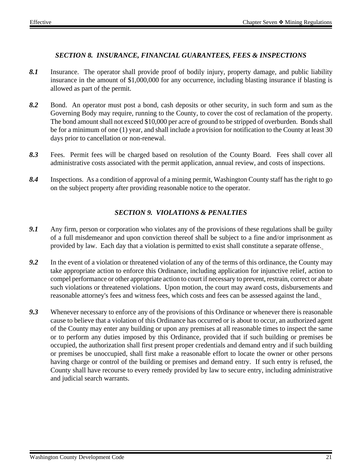#### *SECTION 8. INSURANCE, FINANCIAL GUARANTEES, FEES & INSPECTIONS*

- *8.1* Insurance. The operator shall provide proof of bodily injury, property damage, and public liability insurance in the amount of \$1,000,000 for any occurrence, including blasting insurance if blasting is allowed as part of the permit.
- *8.2* Bond. An operator must post a bond, cash deposits or other security, in such form and sum as the Governing Body may require, running to the County, to cover the cost of reclamation of the property. The bond amount shall not exceed \$10,000 per acre of ground to be stripped of overburden. Bonds shall be for a minimum of one (1) year, and shall include a provision for notification to the County at least 30 days prior to cancellation or non-renewal.
- *8.3* Fees. Permit fees will be charged based on resolution of the County Board. Fees shall cover all administrative costs associated with the permit application, annual review, and costs of inspections.
- *8.4* Inspections. As a condition of approval of a mining permit, Washington County staff has the right to go on the subject property after providing reasonable notice to the operator.

## *SECTION 9. VIOLATIONS & PENALTIES*

- *9.1* Any firm, person or corporation who violates any of the provisions of these regulations shall be guilty of a full misdemeanor and upon conviction thereof shall be subject to a fine and/or imprisonment as provided by law. Each day that a violation is permitted to exist shall constitute a separate offense.
- *9.2* In the event of a violation or threatened violation of any of the terms of this ordinance, the County may take appropriate action to enforce this Ordinance, including application for injunctive relief, action to compel performance or other appropriate action to court if necessary to prevent, restrain, correct or abate such violations or threatened violations. Upon motion, the court may award costs, disbursements and reasonable attorney's fees and witness fees, which costs and fees can be assessed against the land.
- *9.3* Whenever necessary to enforce any of the provisions of this Ordinance or whenever there is reasonable cause to believe that a violation of this Ordinance has occurred or is about to occur, an authorized agent of the County may enter any building or upon any premises at all reasonable times to inspect the same or to perform any duties imposed by this Ordinance, provided that if such building or premises be occupied, the authorization shall first present proper credentials and demand entry and if such building or premises be unoccupied, shall first make a reasonable effort to locate the owner or other persons having charge or control of the building or premises and demand entry. If such entry is refused, the County shall have recourse to every remedy provided by law to secure entry, including administrative and judicial search warrants.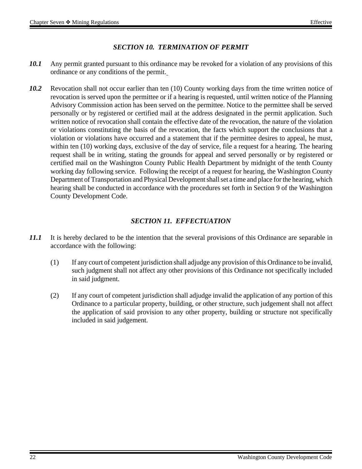### *SECTION 10. TERMINATION OF PERMIT*

- *10.1* Any permit granted pursuant to this ordinance may be revoked for a violation of any provisions of this ordinance or any conditions of the permit.
- 10.2 Revocation shall not occur earlier than ten (10) County working days from the time written notice of revocation is served upon the permittee or if a hearing is requested, until written notice of the Planning Advisory Commission action has been served on the permittee. Notice to the permittee shall be served personally or by registered or certified mail at the address designated in the permit application. Such written notice of revocation shall contain the effective date of the revocation, the nature of the violation or violations constituting the basis of the revocation, the facts which support the conclusions that a violation or violations have occurred and a statement that if the permittee desires to appeal, he must, within ten (10) working days, exclusive of the day of service, file a request for a hearing. The hearing request shall be in writing, stating the grounds for appeal and served personally or by registered or certified mail on the Washington County Public Health Department by midnight of the tenth County working day following service. Following the receipt of a request for hearing, the Washington County Department of Transportation and Physical Development shall set a time and place for the hearing, which hearing shall be conducted in accordance with the procedures set forth in Section 9 of the Washington County Development Code.

## *SECTION 11. EFFECTUATION*

- *11.1* It is hereby declared to be the intention that the several provisions of this Ordinance are separable in accordance with the following:
	- (1) If any court of competent jurisdiction shall adjudge any provision of this Ordinance to be invalid, such judgment shall not affect any other provisions of this Ordinance not specifically included in said judgment.
	- (2) If any court of competent jurisdiction shall adjudge invalid the application of any portion of this Ordinance to a particular property, building, or other structure, such judgement shall not affect the application of said provision to any other property, building or structure not specifically included in said judgement.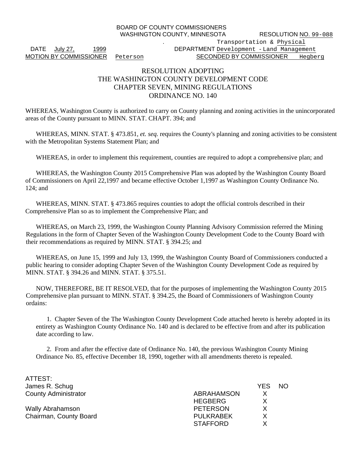BOARD OF COUNTY COMMISSIONERS

WASHINGTON COUNTY, MINNESOTA RESOLUTION NO. 99-088

#### . Transportation & Physical DATE July 27, 1999 1999 DEPARTMENT Development - Land Management MOTION BY COMMISSIONER Peterson SECONDED BY COMMISSIONER Hegberg

#### RESOLUTION ADOPTING THE WASHINGTON COUNTY DEVELOPMENT CODE CHAPTER SEVEN, MINING REGULATIONS ORDINANCE NO. 140

WHEREAS, Washington County is authorized to carry on County planning and zoning activities in the unincorporated areas of the County pursuant to MINN. STAT. CHAPT. 394; and

WHEREAS, MINN. STAT. § 473.851, *et. seq.* requires the County's planning and zoning activities to be consistent with the Metropolitan Systems Statement Plan; and

WHEREAS, in order to implement this requirement, counties are required to adopt a comprehensive plan; and

 WHEREAS, the Washington County 2015 Comprehensive Plan was adopted by the Washington County Board of Commissioners on April 22,1997 and became effective October 1,1997 as Washington County Ordinance No. 124; and

WHEREAS, MINN. STAT. § 473.865 requires counties to adopt the official controls described in their Comprehensive Plan so as to implement the Comprehensive Plan; and

WHEREAS, on March 23, 1999, the Washington County Planning Advisory Commission referred the Mining Regulations in the form of Chapter Seven of the Washington County Development Code to the County Board with their recommendations as required by MINN. STAT. § 394.25; and

WHEREAS, on June 15, 1999 and July 13, 1999, the Washington County Board of Commissioners conducted a public hearing to consider adopting Chapter Seven of the Washington County Development Code as required by MINN. STAT. § 394.26 and MINN. STAT. § 375.51.

NOW, THEREFORE, BE IT RESOLVED, that for the purposes of implementing the Washington County 2015 Comprehensive plan pursuant to MINN. STAT. § 394.25, the Board of Commissioners of Washington County ordains:

1. Chapter Seven of the The Washington County Development Code attached hereto is hereby adopted in its entirety as Washington County Ordinance No. 140 and is declared to be effective from and after its publication date according to law.

2. From and after the effective date of Ordinance No. 140, the previous Washington County Mining Ordinance No. 85, effective December 18, 1990, together with all amendments thereto is repealed.

| ATTEST:                     |                   |            |     |
|-----------------------------|-------------------|------------|-----|
| James R. Schug              |                   | <b>YES</b> | NO. |
| <b>County Administrator</b> | <b>ABRAHAMSON</b> | X          |     |
|                             | <b>HEGBERG</b>    | X          |     |
| <b>Wally Abrahamson</b>     | <b>PETERSON</b>   | X          |     |
| Chairman, County Board      | <b>PULKRABEK</b>  | X          |     |
|                             | <b>STAFFORD</b>   |            |     |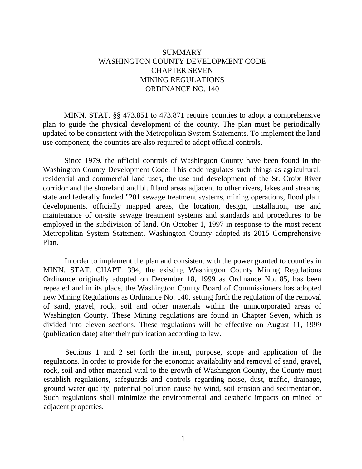## SUMMARY WASHINGTON COUNTY DEVELOPMENT CODE CHAPTER SEVEN MINING REGULATIONS ORDINANCE NO. 140

MINN. STAT. §§ 473.851 to 473.871 require counties to adopt a comprehensive plan to guide the physical development of the county. The plan must be periodically updated to be consistent with the Metropolitan System Statements. To implement the land use component, the counties are also required to adopt official controls.

Since 1979, the official controls of Washington County have been found in the Washington County Development Code. This code regulates such things as agricultural, residential and commercial land uses, the use and development of the St. Croix River corridor and the shoreland and bluffland areas adjacent to other rivers, lakes and streams, state and federally funded "201 sewage treatment systems, mining operations, flood plain developments, officially mapped areas, the location, design, installation, use and maintenance of on-site sewage treatment systems and standards and procedures to be employed in the subdivision of land. On October 1, 1997 in response to the most recent Metropolitan System Statement, Washington County adopted its 2015 Comprehensive Plan.

In order to implement the plan and consistent with the power granted to counties in MINN. STAT. CHAPT. 394, the existing Washington County Mining Regulations Ordinance originally adopted on December 18, 1999 as Ordinance No. 85, has been repealed and in its place, the Washington County Board of Commissioners has adopted new Mining Regulations as Ordinance No. 140, setting forth the regulation of the removal of sand, gravel, rock, soil and other materials within the unincorporated areas of Washington County. These Mining regulations are found in Chapter Seven, which is divided into eleven sections. These regulations will be effective on August 11, 1999 (publication date) after their publication according to law.

Sections 1 and 2 set forth the intent, purpose, scope and application of the regulations. In order to provide for the economic availability and removal of sand, gravel, rock, soil and other material vital to the growth of Washington County, the County must establish regulations, safeguards and controls regarding noise, dust, traffic, drainage, ground water quality, potential pollution cause by wind, soil erosion and sedimentation. Such regulations shall minimize the environmental and aesthetic impacts on mined or adjacent properties.